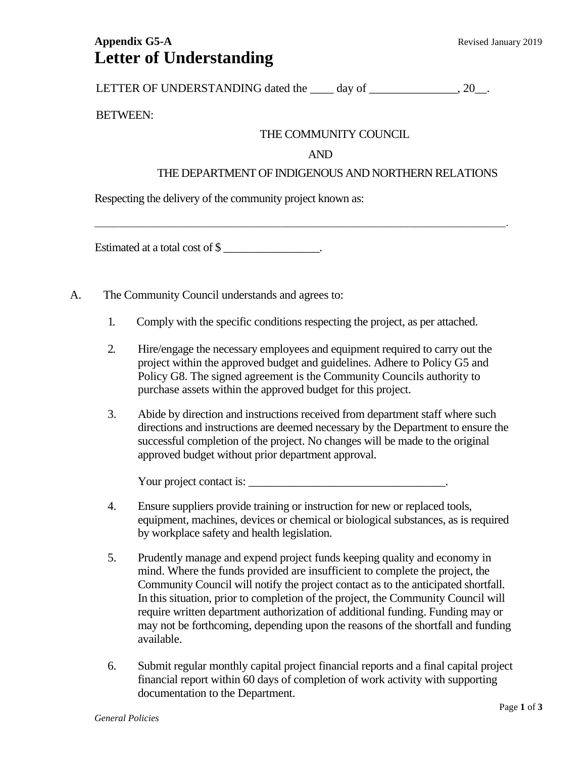# **Appendix G5-A** Revised January 2019 **Letter of Understanding**

LETTER OF UNDERSTANDING dated the \_\_\_\_ day of \_\_\_\_\_\_\_\_\_\_\_\_\_\_\_, 20\_\_.

### BETWEEN:

## THE COMMUNITY COUNCIL

#### AND

#### THE DEPARTMENT OF INDIGENOUS AND NORTHERN RELATIONS

Respecting the delivery of the community project known as:

Estimated at a total cost of \$

- A. The Community Council understands and agrees to:
	- 1. Comply with the specific conditions respecting the project, as per attached.

\_\_\_\_\_\_\_\_\_\_\_\_\_\_\_\_\_\_\_\_\_\_\_\_\_\_\_\_\_\_\_\_\_\_\_\_\_\_\_\_\_\_\_\_\_\_\_\_\_\_\_\_\_\_\_\_\_\_\_\_\_\_\_\_\_\_\_\_\_\_\_\_\_\_\_\_\_\_\_\_\_\_\_\_\_\_.

- 2. Hire/engage the necessary employees and equipment required to carry out the project within the approved budget and guidelines. Adhere to Policy G5 and Policy G8. The signed agreement is the Community Councils authority to purchase assets within the approved budget for this project.
- 3. Abide by direction and instructions received from department staff where such directions and instructions are deemed necessary by the Department to ensure the successful completion of the project. No changes will be made to the original approved budget without prior department approval.

Your project contact is:

- 4. Ensure suppliers provide training or instruction for new or replaced tools, equipment, machines, devices or chemical or biological substances, as is required by workplace safety and health legislation.
- 5. Prudently manage and expend project funds keeping quality and economy in mind. Where the funds provided are insufficient to complete the project, the Community Council will notify the project contact as to the anticipated shortfall. In this situation, prior to completion of the project, the Community Council will require written department authorization of additional funding. Funding may or may not be forthcoming, depending upon the reasons of the shortfall and funding available.
- 6. Submit regular monthly capital project financial reports and a final capital project financial report within 60 days of completion of work activity with supporting documentation to the Department.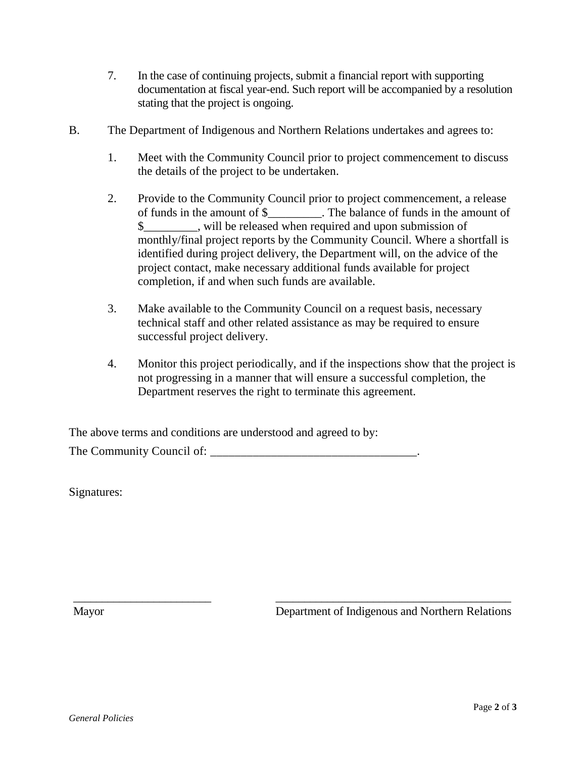- 7. In the case of continuing projects, submit a financial report with supporting documentation at fiscal year-end. Such report will be accompanied by a resolution stating that the project is ongoing.
- B. The Department of Indigenous and Northern Relations undertakes and agrees to:
	- 1. Meet with the Community Council prior to project commencement to discuss the details of the project to be undertaken.
	- 2. Provide to the Community Council prior to project commencement, a release of funds in the amount of \$\_\_\_\_\_\_\_\_\_. The balance of funds in the amount of \$\_\_\_\_\_\_\_\_\_, will be released when required and upon submission of monthly/final project reports by the Community Council. Where a shortfall is identified during project delivery, the Department will, on the advice of the project contact, make necessary additional funds available for project completion, if and when such funds are available.
	- 3. Make available to the Community Council on a request basis, necessary technical staff and other related assistance as may be required to ensure successful project delivery.

\_\_\_\_\_\_\_\_\_\_\_\_\_\_\_\_\_\_\_\_\_\_\_\_ \_\_\_\_\_\_\_\_\_\_\_\_\_\_\_\_\_\_\_\_\_\_\_\_\_\_\_\_\_\_\_\_\_\_\_\_\_\_\_\_\_

4. Monitor this project periodically, and if the inspections show that the project is not progressing in a manner that will ensure a successful completion, the Department reserves the right to terminate this agreement.

The above terms and conditions are understood and agreed to by:

The Community Council of: \_\_\_\_\_\_\_\_\_\_\_\_\_\_\_\_\_\_\_\_\_\_\_\_\_\_\_\_\_\_\_\_\_\_.

Signatures:

Mayor Department of Indigenous and Northern Relations